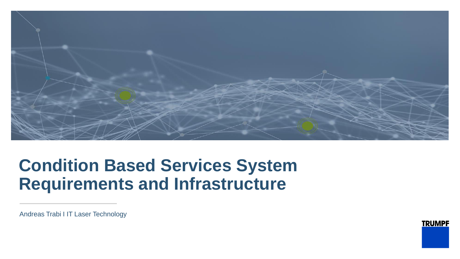

# **Condition Based Services System Requirements and Infrastructure**

Andreas Trabi I IT Laser Technology

**TRUMPF**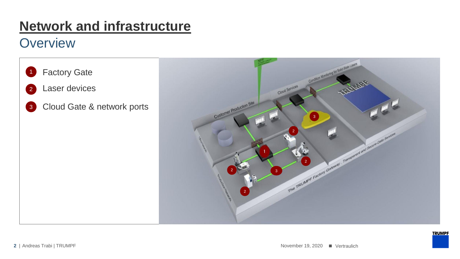## **Network and infrastructure**

## **Overview**

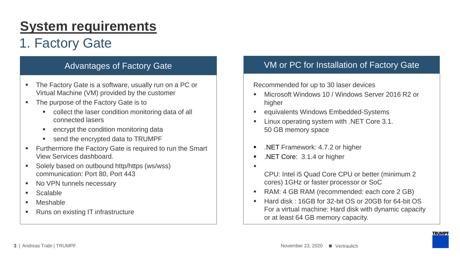## **System requirements**

## 1. Factory Gate

- The Factory Gate is a software, usually run on a PC or Virtual Machine (VM) provided by the customer
- The purpose of the Factory Gate is to
	- collect the laser condition monitoring data of all connected lasers
	- encrypt the condition monitoring data
	- send the encrypted data to TRUMPF
- Furthermore the Factory Gate is required to run the Smart View Services dashboard.
- Solely based on outbound http/https (ws/wss) communication: Port 80, Port 443
- No VPN tunnels necessary
- Scalable
- **Meshable**
- Runs on existing IT infrastructure

### Advantages of Factory Gate VM or PC for Installation of Factory Gate

Recommended for up to 30 laser devices

- Microsoft Windows 10 / Windows Server 2016 R2 or higher
- equivalents Windows Embedded-Systems
- Linux operating system with .NET Core 3.1. 50 GB memory space
- .NET Framework: 4.7.2 or higher
- .NET Core: 3.1.4 or higher
- ▪
- CPU: Intel i5 Quad Core CPU or better (minimum 2 cores) 1GHz or faster processor or SoC
- RAM: 4 GB RAM (recommended: each core 2 GB)
- Hard disk : 16GB for 32-bit OS or 20GB for 64-bit OS For a virtual machine: Hard disk with dynamic capacity or at least 64 GB memory capacity.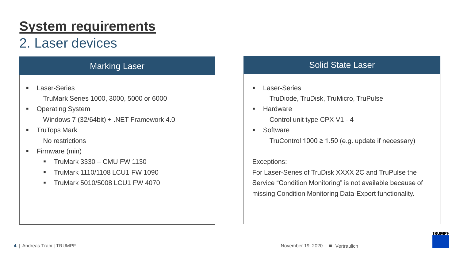## **System requirements**

## 2. Laser devices

■ Laser-Series

TruMark Series 1000, 3000, 5000 or 6000

- Operating System Windows 7 (32/64bit) + .NET Framework 4.0
- TruTops Mark No restrictions
- Firmware (min)
	- $\blacksquare$  TruMark 3330 CMU FW 1130
	- **E** TruMark 1110/1108 LCU1 FW 1090
	- **TruMark 5010/5008 LCU1 FW 4070**

## Marking Laser No. 2006 Solid State Laser

- Laser-Series TruDiode, TruDisk, TruMicro, TruPulse
- Hardware Control unit type CPX V1 - 4
- Software

TruControl 1000  $\geq$  1.50 (e.g. update if necessary)

### Exceptions:

For Laser-Series of TruDisk XXXX 2C and TruPulse the Service "Condition Monitoring" is not available because of missing Condition Monitoring Data-Export functionality.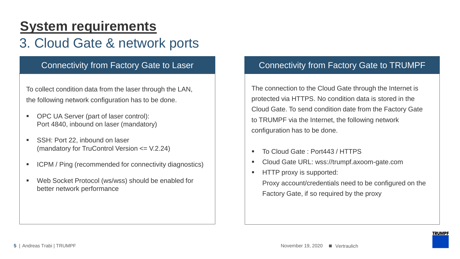## **System requirements**

## 3. Cloud Gate & network ports

To collect condition data from the laser through the LAN, the following network configuration has to be done.

- OPC UA Server (part of laser control): Port 4840, inbound on laser (mandatory)
- SSH: Port 22, inbound on laser (mandatory for TruControl Version <= V.2.24)
- ICPM / Ping (recommended for connectivity diagnostics)
- Web Socket Protocol (ws/wss) should be enabled for better network performance

### Connectivity from Factory Gate to Laser **Connectivity from Factory Gate to TRUMPF**

The connection to the Cloud Gate through the Internet is protected via HTTPS. No condition data is stored in the Cloud Gate. To send condition date from the Factory Gate to TRUMPF via the Internet, the following network configuration has to be done.

- To Cloud Gate: Port443 / HTTPS
- Cloud Gate URL: wss://trumpf.axoom-gate.com
- HTTP proxy is supported:

Proxy account/credentials need to be configured on the Factory Gate, if so required by the proxy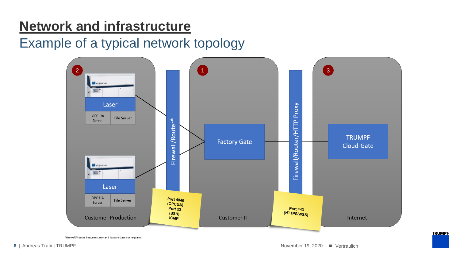## **Network and infrastructure**

## Example of a typical network topology



\*Firewall/Router between Laser and Factory Gate not required

**TRUMPF**